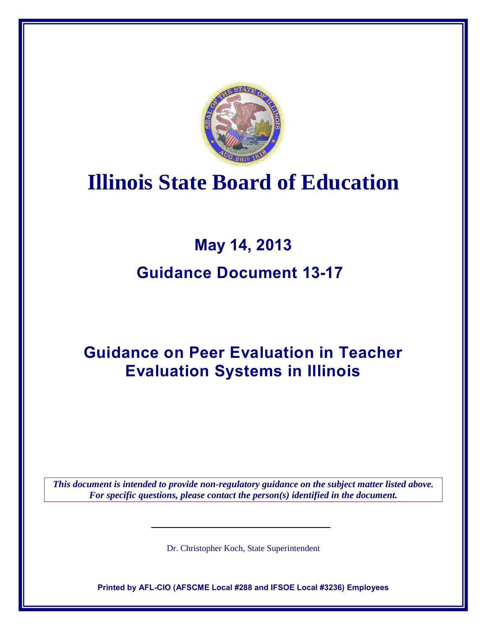

# **Illinois State Board of Education**

# **May 14, 2013 Guidance Document 13-17**

## **Guidance on Peer Evaluation in Teacher Evaluation Systems in Illinois**

*This document is intended to provide non-regulatory guidance on the subject matter listed above. For specific questions, please contact the person(s) identified in the document.*

Dr. Christopher Koch, State Superintendent

**Printed by AFL-CIO (AFSCME Local #288 and IFSOE Local #3236) Employees**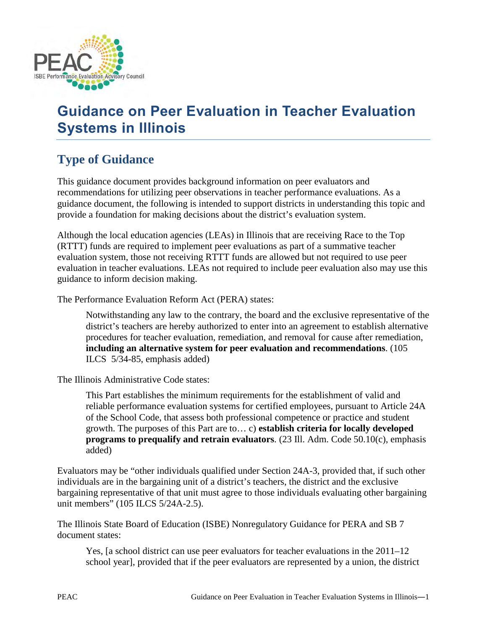

## **Guidance on Peer Evaluation in Teacher Evaluation Systems in Illinois**

## **Type of Guidance**

This guidance document provides background information on peer evaluators and recommendations for utilizing peer observations in teacher performance evaluations. As a guidance document, the following is intended to support districts in understanding this topic and provide a foundation for making decisions about the district's evaluation system.

Although the local education agencies (LEAs) in Illinois that are receiving Race to the Top (RTTT) funds are required to implement peer evaluations as part of a summative teacher evaluation system, those not receiving RTTT funds are allowed but not required to use peer evaluation in teacher evaluations. LEAs not required to include peer evaluation also may use this guidance to inform decision making.

The Performance Evaluation Reform Act (PERA) states:

Notwithstanding any law to the contrary, the board and the exclusive representative of the district's teachers are hereby authorized to enter into an agreement to establish alternative procedures for teacher evaluation, remediation, and removal for cause after remediation, **including an alternative system for peer evaluation and recommendations**. (105 ILCS 5/34-85, emphasis added)

The Illinois Administrative Code states:

This Part establishes the minimum requirements for the establishment of valid and reliable performance evaluation systems for certified employees, pursuant to Article 24A of the School Code, that assess both professional competence or practice and student growth. The purposes of this Part are to… c) **establish criteria for locally developed programs to prequalify and retrain evaluators**. (23 Ill. Adm. Code 50.10(c), emphasis added)

Evaluators may be "other individuals qualified under Section 24A-3, provided that, if such other individuals are in the bargaining unit of a district's teachers, the district and the exclusive bargaining representative of that unit must agree to those individuals evaluating other bargaining unit members" (105 ILCS 5/24A-2.5).

The Illinois State Board of Education (ISBE) Nonregulatory Guidance for PERA and SB 7 document states:

Yes, [a school district can use peer evaluators for teacher evaluations in the 2011–12 school year], provided that if the peer evaluators are represented by a union, the district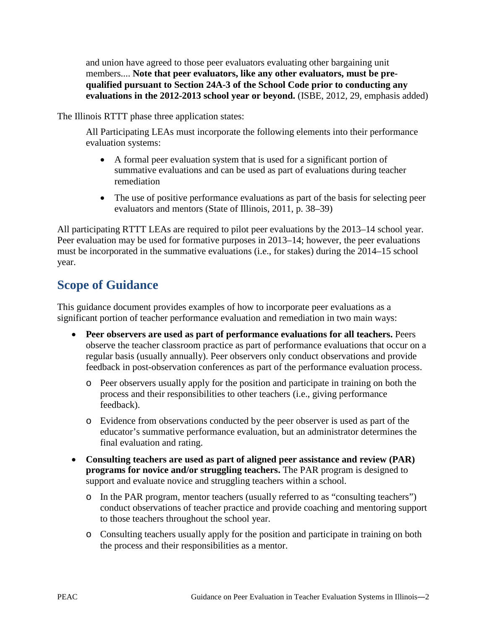and union have agreed to those peer evaluators evaluating other bargaining unit members.... **Note that peer evaluators, like any other evaluators, must be prequalified pursuant to Section 24A-3 of the School Code prior to conducting any evaluations in the 2012-2013 school year or beyond.** (ISBE, 2012, 29, emphasis added)

The Illinois RTTT phase three application states:

All Participating LEAs must incorporate the following elements into their performance evaluation systems:

- A formal peer evaluation system that is used for a significant portion of summative evaluations and can be used as part of evaluations during teacher remediation
- The use of positive performance evaluations as part of the basis for selecting peer evaluators and mentors (State of Illinois, 2011, p. 38–39)

All participating RTTT LEAs are required to pilot peer evaluations by the 2013–14 school year. Peer evaluation may be used for formative purposes in 2013–14; however, the peer evaluations must be incorporated in the summative evaluations (i.e., for stakes) during the 2014–15 school year.

### **Scope of Guidance**

This guidance document provides examples of how to incorporate peer evaluations as a significant portion of teacher performance evaluation and remediation in two main ways:

- **Peer observers are used as part of performance evaluations for all teachers.** Peers observe the teacher classroom practice as part of performance evaluations that occur on a regular basis (usually annually). Peer observers only conduct observations and provide feedback in post-observation conferences as part of the performance evaluation process.
	- o Peer observers usually apply for the position and participate in training on both the process and their responsibilities to other teachers (i.e., giving performance feedback).
	- o Evidence from observations conducted by the peer observer is used as part of the educator's summative performance evaluation, but an administrator determines the final evaluation and rating.
- **Consulting teachers are used as part of aligned peer assistance and review (PAR) programs for novice and/or struggling teachers.** The PAR program is designed to support and evaluate novice and struggling teachers within a school.
	- o In the PAR program, mentor teachers (usually referred to as "consulting teachers") conduct observations of teacher practice and provide coaching and mentoring support to those teachers throughout the school year.
	- o Consulting teachers usually apply for the position and participate in training on both the process and their responsibilities as a mentor.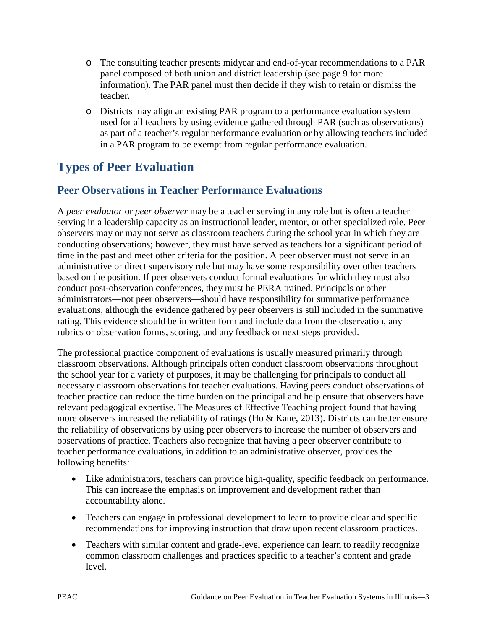- o The consulting teacher presents midyear and end-of-year recommendations to a PAR panel composed of both union and district leadership (see page 9 for more information). The PAR panel must then decide if they wish to retain or dismiss the teacher.
- o Districts may align an existing PAR program to a performance evaluation system used for all teachers by using evidence gathered through PAR (such as observations) as part of a teacher's regular performance evaluation or by allowing teachers included in a PAR program to be exempt from regular performance evaluation.

## **Types of Peer Evaluation**

#### **Peer Observations in Teacher Performance Evaluations**

A *peer evaluator* or *peer observer* may be a teacher serving in any role but is often a teacher serving in a leadership capacity as an instructional leader, mentor, or other specialized role. Peer observers may or may not serve as classroom teachers during the school year in which they are conducting observations; however, they must have served as teachers for a significant period of time in the past and meet other criteria for the position. A peer observer must not serve in an administrative or direct supervisory role but may have some responsibility over other teachers based on the position. If peer observers conduct formal evaluations for which they must also conduct post-observation conferences, they must be PERA trained. Principals or other administrators—not peer observers—should have responsibility for summative performance evaluations, although the evidence gathered by peer observers is still included in the summative rating. This evidence should be in written form and include data from the observation, any rubrics or observation forms, scoring, and any feedback or next steps provided.

The professional practice component of evaluations is usually measured primarily through classroom observations. Although principals often conduct classroom observations throughout the school year for a variety of purposes, it may be challenging for principals to conduct all necessary classroom observations for teacher evaluations. Having peers conduct observations of teacher practice can reduce the time burden on the principal and help ensure that observers have relevant pedagogical expertise. The Measures of Effective Teaching project found that having more observers increased the reliability of ratings (Ho & Kane, 2013). Districts can better ensure the reliability of observations by using peer observers to increase the number of observers and observations of practice. Teachers also recognize that having a peer observer contribute to teacher performance evaluations, in addition to an administrative observer, provides the following benefits:

- Like administrators, teachers can provide high-quality, specific feedback on performance. This can increase the emphasis on improvement and development rather than accountability alone.
- Teachers can engage in professional development to learn to provide clear and specific recommendations for improving instruction that draw upon recent classroom practices.
- Teachers with similar content and grade-level experience can learn to readily recognize common classroom challenges and practices specific to a teacher's content and grade level.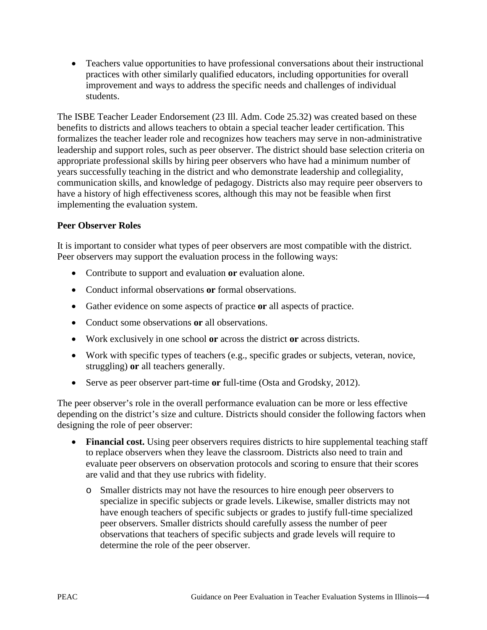• Teachers value opportunities to have professional conversations about their instructional practices with other similarly qualified educators, including opportunities for overall improvement and ways to address the specific needs and challenges of individual students.

The ISBE Teacher Leader Endorsement (23 Ill. Adm. Code 25.32) was created based on these benefits to districts and allows teachers to obtain a special teacher leader certification. This formalizes the teacher leader role and recognizes how teachers may serve in non-administrative leadership and support roles, such as peer observer. The district should base selection criteria on appropriate professional skills by hiring peer observers who have had a minimum number of years successfully teaching in the district and who demonstrate leadership and collegiality, communication skills, and knowledge of pedagogy. Districts also may require peer observers to have a history of high effectiveness scores, although this may not be feasible when first implementing the evaluation system.

#### **Peer Observer Roles**

It is important to consider what types of peer observers are most compatible with the district. Peer observers may support the evaluation process in the following ways:

- Contribute to support and evaluation **or** evaluation alone.
- Conduct informal observations **or** formal observations.
- Gather evidence on some aspects of practice **or** all aspects of practice.
- Conduct some observations **or** all observations.
- Work exclusively in one school **or** across the district **or** across districts.
- Work with specific types of teachers (e.g., specific grades or subjects, veteran, novice, struggling) **or** all teachers generally.
- Serve as peer observer part-time **or** full-time (Osta and Grodsky, 2012).

The peer observer's role in the overall performance evaluation can be more or less effective depending on the district's size and culture. Districts should consider the following factors when designing the role of peer observer:

- Financial cost. Using peer observers requires districts to hire supplemental teaching staff to replace observers when they leave the classroom. Districts also need to train and evaluate peer observers on observation protocols and scoring to ensure that their scores are valid and that they use rubrics with fidelity.
	- o Smaller districts may not have the resources to hire enough peer observers to specialize in specific subjects or grade levels. Likewise, smaller districts may not have enough teachers of specific subjects or grades to justify full-time specialized peer observers. Smaller districts should carefully assess the number of peer observations that teachers of specific subjects and grade levels will require to determine the role of the peer observer.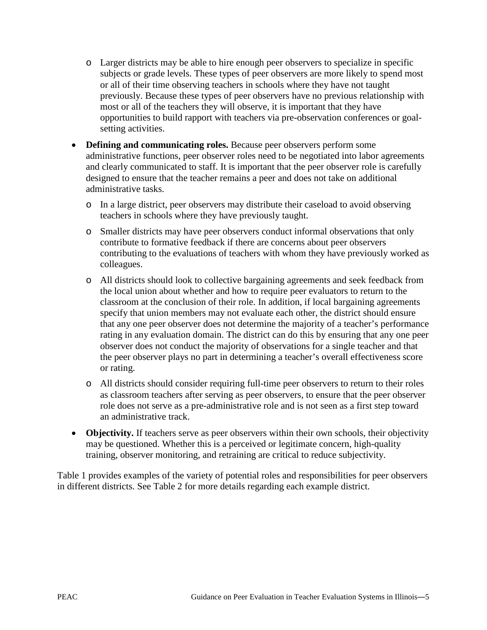- o Larger districts may be able to hire enough peer observers to specialize in specific subjects or grade levels. These types of peer observers are more likely to spend most or all of their time observing teachers in schools where they have not taught previously. Because these types of peer observers have no previous relationship with most or all of the teachers they will observe, it is important that they have opportunities to build rapport with teachers via pre-observation conferences or goalsetting activities.
- **Defining and communicating roles.** Because peer observers perform some administrative functions, peer observer roles need to be negotiated into labor agreements and clearly communicated to staff. It is important that the peer observer role is carefully designed to ensure that the teacher remains a peer and does not take on additional administrative tasks.
	- o In a large district, peer observers may distribute their caseload to avoid observing teachers in schools where they have previously taught.
	- o Smaller districts may have peer observers conduct informal observations that only contribute to formative feedback if there are concerns about peer observers contributing to the evaluations of teachers with whom they have previously worked as colleagues.
	- o All districts should look to collective bargaining agreements and seek feedback from the local union about whether and how to require peer evaluators to return to the classroom at the conclusion of their role. In addition, if local bargaining agreements specify that union members may not evaluate each other, the district should ensure that any one peer observer does not determine the majority of a teacher's performance rating in any evaluation domain. The district can do this by ensuring that any one peer observer does not conduct the majority of observations for a single teacher and that the peer observer plays no part in determining a teacher's overall effectiveness score or rating.
	- o All districts should consider requiring full-time peer observers to return to their roles as classroom teachers after serving as peer observers, to ensure that the peer observer role does not serve as a pre-administrative role and is not seen as a first step toward an administrative track.
- **Objectivity.** If teachers serve as peer observers within their own schools, their objectivity may be questioned. Whether this is a perceived or legitimate concern, high-quality training, observer monitoring, and retraining are critical to reduce subjectivity.

Table 1 provides examples of the variety of potential roles and responsibilities for peer observers in different districts. See Table 2 for more details regarding each example district.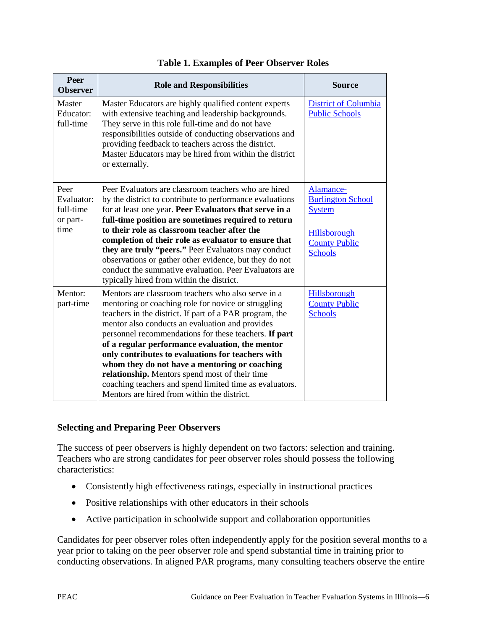| Peer<br><b>Observer</b>                             | <b>Role and Responsibilities</b>                                                                                                                                                                                                                                                                                                                                                                                                                                                                                                                                                                      | <b>Source</b>                                                                                                    |
|-----------------------------------------------------|-------------------------------------------------------------------------------------------------------------------------------------------------------------------------------------------------------------------------------------------------------------------------------------------------------------------------------------------------------------------------------------------------------------------------------------------------------------------------------------------------------------------------------------------------------------------------------------------------------|------------------------------------------------------------------------------------------------------------------|
| Master<br>Educator:<br>full-time                    | Master Educators are highly qualified content experts<br>with extensive teaching and leadership backgrounds.<br>They serve in this role full-time and do not have<br>responsibilities outside of conducting observations and<br>providing feedback to teachers across the district.<br>Master Educators may be hired from within the district<br>or externally.                                                                                                                                                                                                                                       | <b>District of Columbia</b><br><b>Public Schools</b>                                                             |
| Peer<br>Evaluator:<br>full-time<br>or part-<br>time | Peer Evaluators are classroom teachers who are hired<br>by the district to contribute to performance evaluations<br>for at least one year. Peer Evaluators that serve in a<br>full-time position are sometimes required to return<br>to their role as classroom teacher after the<br>completion of their role as evaluator to ensure that<br>they are truly "peers." Peer Evaluators may conduct<br>observations or gather other evidence, but they do not<br>conduct the summative evaluation. Peer Evaluators are<br>typically hired from within the district.                                      | Alamance-<br><b>Burlington School</b><br><b>System</b><br>Hillsborough<br><b>County Public</b><br><b>Schools</b> |
| Mentor:<br>part-time                                | Mentors are classroom teachers who also serve in a<br>mentoring or coaching role for novice or struggling<br>teachers in the district. If part of a PAR program, the<br>mentor also conducts an evaluation and provides<br>personnel recommendations for these teachers. If part<br>of a regular performance evaluation, the mentor<br>only contributes to evaluations for teachers with<br>whom they do not have a mentoring or coaching<br>relationship. Mentors spend most of their time<br>coaching teachers and spend limited time as evaluators.<br>Mentors are hired from within the district. | Hillsborough<br><b>County Public</b><br><b>Schools</b>                                                           |

#### **Table 1. Examples of Peer Observer Roles**

#### **Selecting and Preparing Peer Observers**

The success of peer observers is highly dependent on two factors: selection and training. Teachers who are strong candidates for peer observer roles should possess the following characteristics:

- Consistently high effectiveness ratings, especially in instructional practices
- Positive relationships with other educators in their schools
- Active participation in schoolwide support and collaboration opportunities

Candidates for peer observer roles often independently apply for the position several months to a year prior to taking on the peer observer role and spend substantial time in training prior to conducting observations. In aligned PAR programs, many consulting teachers observe the entire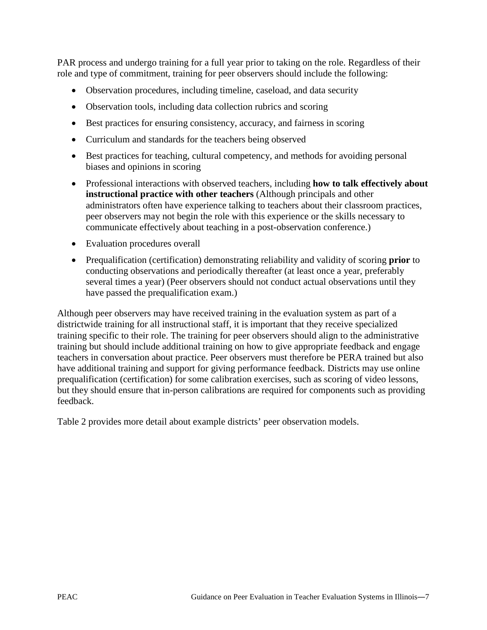PAR process and undergo training for a full year prior to taking on the role. Regardless of their role and type of commitment, training for peer observers should include the following:

- Observation procedures, including timeline, caseload, and data security
- Observation tools, including data collection rubrics and scoring
- Best practices for ensuring consistency, accuracy, and fairness in scoring
- Curriculum and standards for the teachers being observed
- Best practices for teaching, cultural competency, and methods for avoiding personal biases and opinions in scoring
- Professional interactions with observed teachers, including **how to talk effectively about instructional practice with other teachers** (Although principals and other administrators often have experience talking to teachers about their classroom practices, peer observers may not begin the role with this experience or the skills necessary to communicate effectively about teaching in a post-observation conference.)
- Evaluation procedures overall
- Prequalification (certification) demonstrating reliability and validity of scoring **prior** to conducting observations and periodically thereafter (at least once a year, preferably several times a year) (Peer observers should not conduct actual observations until they have passed the prequalification exam.)

Although peer observers may have received training in the evaluation system as part of a districtwide training for all instructional staff, it is important that they receive specialized training specific to their role. The training for peer observers should align to the administrative training but should include additional training on how to give appropriate feedback and engage teachers in conversation about practice. Peer observers must therefore be PERA trained but also have additional training and support for giving performance feedback. Districts may use online prequalification (certification) for some calibration exercises, such as scoring of video lessons, but they should ensure that in-person calibrations are required for components such as providing feedback.

Table 2 provides more detail about example districts' peer observation models.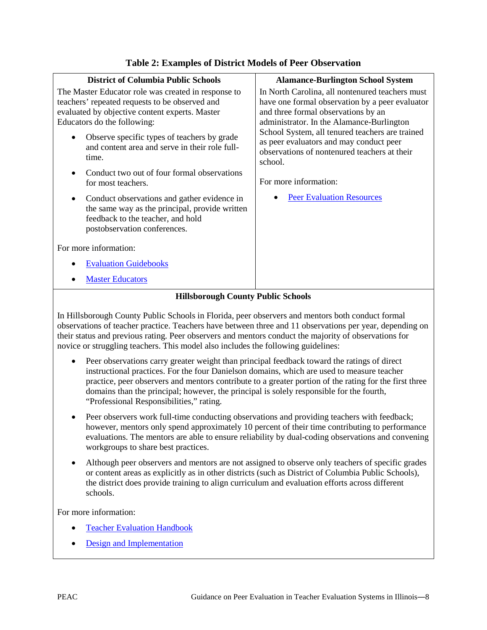| <b>District of Columbia Public Schools</b><br>The Master Educator role was created in response to<br>teachers' repeated requests to be observed and<br>evaluated by objective content experts. Master<br>Educators do the following:<br>Observe specific types of teachers by grade<br>and content area and serve in their role full-<br>time.<br>Conduct two out of four formal observations<br>for most teachers.<br>Conduct observations and gather evidence in<br>the same way as the principal, provide written<br>feedback to the teacher, and hold | <b>Alamance-Burlington School System</b><br>In North Carolina, all nontenured teachers must<br>have one formal observation by a peer evaluator<br>and three formal observations by an<br>administrator. In the Alamance-Burlington<br>School System, all tenured teachers are trained<br>as peer evaluators and may conduct peer<br>observations of nontenured teachers at their<br>school.<br>For more information:<br><b>Peer Evaluation Resources</b> |
|-----------------------------------------------------------------------------------------------------------------------------------------------------------------------------------------------------------------------------------------------------------------------------------------------------------------------------------------------------------------------------------------------------------------------------------------------------------------------------------------------------------------------------------------------------------|----------------------------------------------------------------------------------------------------------------------------------------------------------------------------------------------------------------------------------------------------------------------------------------------------------------------------------------------------------------------------------------------------------------------------------------------------------|
| postobservation conferences.<br>For more information:                                                                                                                                                                                                                                                                                                                                                                                                                                                                                                     |                                                                                                                                                                                                                                                                                                                                                                                                                                                          |
| <b>Evaluation Guidebooks</b>                                                                                                                                                                                                                                                                                                                                                                                                                                                                                                                              |                                                                                                                                                                                                                                                                                                                                                                                                                                                          |
| <b>Master Educators</b>                                                                                                                                                                                                                                                                                                                                                                                                                                                                                                                                   |                                                                                                                                                                                                                                                                                                                                                                                                                                                          |

#### **Table 2: Examples of District Models of Peer Observation**

#### **Hillsborough County Public Schools**

In Hillsborough County Public Schools in Florida, peer observers and mentors both conduct formal observations of teacher practice. Teachers have between three and 11 observations per year, depending on their status and previous rating. Peer observers and mentors conduct the majority of observations for novice or struggling teachers. This model also includes the following guidelines:

- Peer observations carry greater weight than principal feedback toward the ratings of direct instructional practices. For the four Danielson domains, which are used to measure teacher practice, peer observers and mentors contribute to a greater portion of the rating for the first three domains than the principal; however, the principal is solely responsible for the fourth, "Professional Responsibilities," rating.
- Peer observers work full-time conducting observations and providing teachers with feedback; however, mentors only spend approximately 10 percent of their time contributing to performance evaluations. The mentors are able to ensure reliability by dual-coding observations and convening workgroups to share best practices.
- Although peer observers and mentors are not assigned to observe only teachers of specific grades or content areas as explicitly as in other districts (such as District of Columbia Public Schools), the district does provide training to align curriculum and evaluation efforts across different schools.

For more information:

- **[Teacher Evaluation Handbook](http://www.fldoe.org/profdev/pdf/pa/Hillsborough.pdf)**
- [Design and Implementation](http://www.aspendrl.org/portal/browse/DocumentDetail?documentId=1068&download)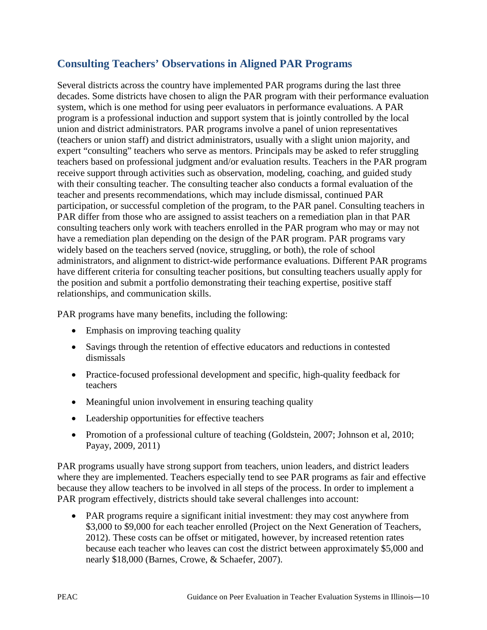#### **Consulting Teachers' Observations in Aligned PAR Programs**

Several districts across the country have implemented PAR programs during the last three decades. Some districts have chosen to align the PAR program with their performance evaluation system, which is one method for using peer evaluators in performance evaluations. A PAR program is a professional induction and support system that is jointly controlled by the local union and district administrators. PAR programs involve a panel of union representatives (teachers or union staff) and district administrators, usually with a slight union majority, and expert "consulting" teachers who serve as mentors. Principals may be asked to refer struggling teachers based on professional judgment and/or evaluation results. Teachers in the PAR program receive support through activities such as observation, modeling, coaching, and guided study with their consulting teacher. The consulting teacher also conducts a formal evaluation of the teacher and presents recommendations, which may include dismissal, continued PAR participation, or successful completion of the program, to the PAR panel. Consulting teachers in PAR differ from those who are assigned to assist teachers on a remediation plan in that PAR consulting teachers only work with teachers enrolled in the PAR program who may or may not have a remediation plan depending on the design of the PAR program. PAR programs vary widely based on the teachers served (novice, struggling, or both), the role of school administrators, and alignment to district-wide performance evaluations. Different PAR programs have different criteria for consulting teacher positions, but consulting teachers usually apply for the position and submit a portfolio demonstrating their teaching expertise, positive staff relationships, and communication skills.

PAR programs have many benefits, including the following:

- Emphasis on improving teaching quality
- Savings through the retention of effective educators and reductions in contested dismissals
- Practice-focused professional development and specific, high-quality feedback for teachers
- Meaningful union involvement in ensuring teaching quality
- Leadership opportunities for effective teachers
- Promotion of a professional culture of teaching (Goldstein, 2007; Johnson et al, 2010; Payay, 2009, 2011)

PAR programs usually have strong support from teachers, union leaders, and district leaders where they are implemented. Teachers especially tend to see PAR programs as fair and effective because they allow teachers to be involved in all steps of the process. In order to implement a PAR program effectively, districts should take several challenges into account:

• PAR programs require a significant initial investment: they may cost anywhere from \$3,000 to \$9,000 for each teacher enrolled (Project on the Next Generation of Teachers, 2012). These costs can be offset or mitigated, however, by increased retention rates because each teacher who leaves can cost the district between approximately \$5,000 and nearly \$18,000 (Barnes, Crowe, & Schaefer, 2007).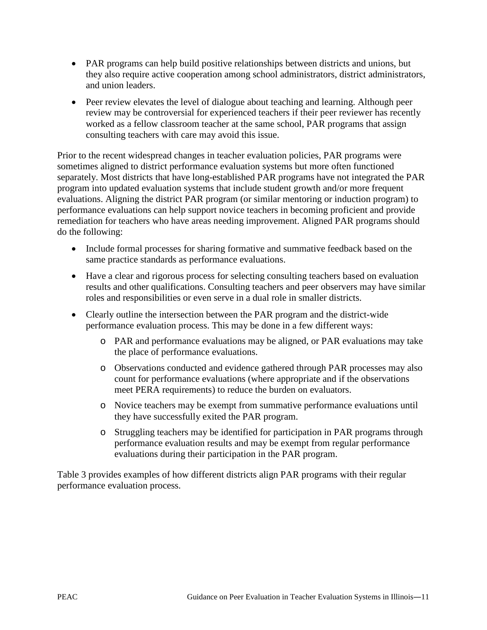- PAR programs can help build positive relationships between districts and unions, but they also require active cooperation among school administrators, district administrators, and union leaders.
- Peer review elevates the level of dialogue about teaching and learning. Although peer review may be controversial for experienced teachers if their peer reviewer has recently worked as a fellow classroom teacher at the same school, PAR programs that assign consulting teachers with care may avoid this issue.

Prior to the recent widespread changes in teacher evaluation policies, PAR programs were sometimes aligned to district performance evaluation systems but more often functioned separately. Most districts that have long-established PAR programs have not integrated the PAR program into updated evaluation systems that include student growth and/or more frequent evaluations. Aligning the district PAR program (or similar mentoring or induction program) to performance evaluations can help support novice teachers in becoming proficient and provide remediation for teachers who have areas needing improvement. Aligned PAR programs should do the following:

- Include formal processes for sharing formative and summative feedback based on the same practice standards as performance evaluations.
- Have a clear and rigorous process for selecting consulting teachers based on evaluation results and other qualifications. Consulting teachers and peer observers may have similar roles and responsibilities or even serve in a dual role in smaller districts.
- Clearly outline the intersection between the PAR program and the district-wide performance evaluation process. This may be done in a few different ways:
	- o PAR and performance evaluations may be aligned, or PAR evaluations may take the place of performance evaluations.
	- o Observations conducted and evidence gathered through PAR processes may also count for performance evaluations (where appropriate and if the observations meet PERA requirements) to reduce the burden on evaluators.
	- o Novice teachers may be exempt from summative performance evaluations until they have successfully exited the PAR program.
	- o Struggling teachers may be identified for participation in PAR programs through performance evaluation results and may be exempt from regular performance evaluations during their participation in the PAR program.

Table 3 provides examples of how different districts align PAR programs with their regular performance evaluation process.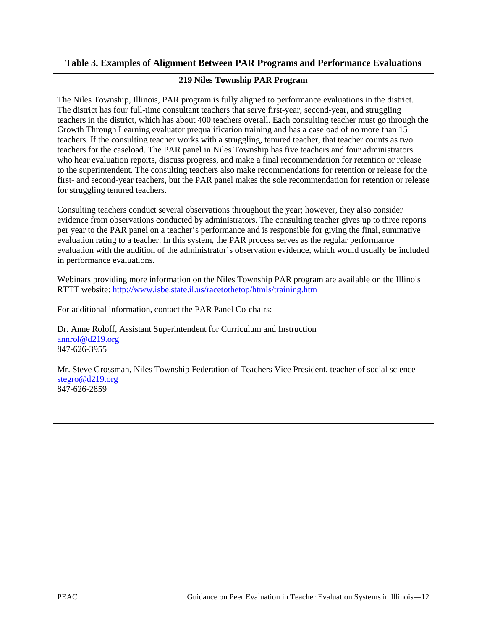#### **Table 3. Examples of Alignment Between PAR Programs and Performance Evaluations**

#### **219 Niles Township PAR Program**

The Niles Township, Illinois, PAR program is fully aligned to performance evaluations in the district. The district has four full-time consultant teachers that serve first-year, second-year, and struggling teachers in the district, which has about 400 teachers overall. Each consulting teacher must go through the Growth Through Learning evaluator prequalification training and has a caseload of no more than 15 teachers. If the consulting teacher works with a struggling, tenured teacher, that teacher counts as two teachers for the caseload. The PAR panel in Niles Township has five teachers and four administrators who hear evaluation reports, discuss progress, and make a final recommendation for retention or release to the superintendent. The consulting teachers also make recommendations for retention or release for the first- and second-year teachers, but the PAR panel makes the sole recommendation for retention or release for struggling tenured teachers.

Consulting teachers conduct several observations throughout the year; however, they also consider evidence from observations conducted by administrators. The consulting teacher gives up to three reports per year to the PAR panel on a teacher's performance and is responsible for giving the final, summative evaluation rating to a teacher. In this system, the PAR process serves as the regular performance evaluation with the addition of the administrator's observation evidence, which would usually be included in performance evaluations.

Webinars providing more information on the Niles Township PAR program are available on the Illinois RTTT website[: http://www.isbe.state.il.us/racetothetop/htmls/training.htm](http://www.isbe.state.il.us/racetothetop/htmls/training.htm)

For additional information, contact the PAR Panel Co-chairs:

Dr. Anne Roloff, Assistant Superintendent for Curriculum and Instruction [annrol@d219.org](mailto:annrol@d219.org) 847-626-3955

Mr. Steve Grossman, Niles Township Federation of Teachers Vice President, teacher of social science [stegro@d219.org](mailto:stegro@d219.org) 847-626-2859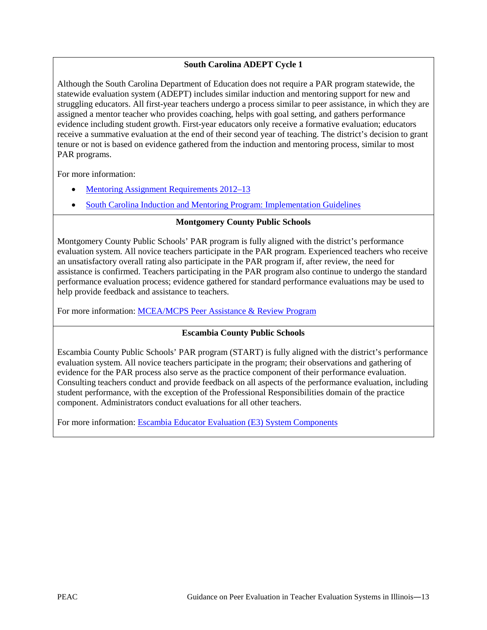#### **South Carolina ADEPT Cycle 1**

Although the South Carolina Department of Education does not require a PAR program statewide, the statewide evaluation system (ADEPT) includes similar induction and mentoring support for new and struggling educators. All first-year teachers undergo a process similar to peer assistance, in which they are assigned a mentor teacher who provides coaching, helps with goal setting, and gathers performance evidence including student growth. First-year educators only receive a formative evaluation; educators receive a summative evaluation at the end of their second year of teaching. The district's decision to grant tenure or not is based on evidence gathered from the induction and mentoring process, similar to most PAR programs.

For more information:

- [Mentoring Assignment Requirements 2012–13](http://ed.sc.gov/agency/se/Teacher-Effectiveness/Induction-Mentoring/documents/Mentor_Assignment_Requirements12-13.pdf)
- [South Carolina Induction and Mentoring Program: Implementation Guidelines](http://ed.sc.gov/agency/se/Teacher-Effectiveness/Induction-Mentoring/documents/mentorguide.pdf)

#### **Montgomery County Public Schools**

Montgomery County Public Schools' PAR program is fully aligned with the district's performance evaluation system. All novice teachers participate in the PAR program. Experienced teachers who receive an unsatisfactory overall rating also participate in the PAR program if, after review, the need for assistance is confirmed. Teachers participating in the PAR program also continue to undergo the standard performance evaluation process; evidence gathered for standard performance evaluations may be used to help provide feedback and assistance to teachers.

For more information: [MCEA/MCPS Peer Assistance & Review Program](http://www.mceanea.org/pdf/PAR2011.pdf)

#### **Escambia County Public Schools**

Escambia County Public Schools' PAR program (START) is fully aligned with the district's performance evaluation system. All novice teachers participate in the program; their observations and gathering of evidence for the PAR process also serve as the practice component of their performance evaluation. Consulting teachers conduct and provide feedback on all aspects of the performance evaluation, including student performance, with the exception of the Professional Responsibilities domain of the practice component. Administrators conduct evaluations for all other teachers.

For more information: **Escambia Educator Evaluation (E3) System Components**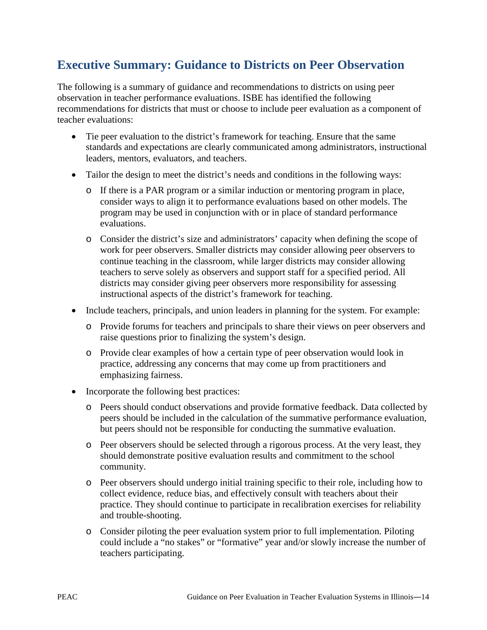## **Executive Summary: Guidance to Districts on Peer Observation**

The following is a summary of guidance and recommendations to districts on using peer observation in teacher performance evaluations. ISBE has identified the following recommendations for districts that must or choose to include peer evaluation as a component of teacher evaluations:

- Tie peer evaluation to the district's framework for teaching. Ensure that the same standards and expectations are clearly communicated among administrators, instructional leaders, mentors, evaluators, and teachers.
- Tailor the design to meet the district's needs and conditions in the following ways:
	- o If there is a PAR program or a similar induction or mentoring program in place, consider ways to align it to performance evaluations based on other models. The program may be used in conjunction with or in place of standard performance evaluations.
	- o Consider the district's size and administrators' capacity when defining the scope of work for peer observers. Smaller districts may consider allowing peer observers to continue teaching in the classroom, while larger districts may consider allowing teachers to serve solely as observers and support staff for a specified period. All districts may consider giving peer observers more responsibility for assessing instructional aspects of the district's framework for teaching.
- Include teachers, principals, and union leaders in planning for the system. For example:
	- o Provide forums for teachers and principals to share their views on peer observers and raise questions prior to finalizing the system's design.
	- o Provide clear examples of how a certain type of peer observation would look in practice, addressing any concerns that may come up from practitioners and emphasizing fairness.
- Incorporate the following best practices:
	- o Peers should conduct observations and provide formative feedback. Data collected by peers should be included in the calculation of the summative performance evaluation, but peers should not be responsible for conducting the summative evaluation.
	- o Peer observers should be selected through a rigorous process. At the very least, they should demonstrate positive evaluation results and commitment to the school community.
	- o Peer observers should undergo initial training specific to their role, including how to collect evidence, reduce bias, and effectively consult with teachers about their practice. They should continue to participate in recalibration exercises for reliability and trouble-shooting.
	- o Consider piloting the peer evaluation system prior to full implementation. Piloting could include a "no stakes" or "formative" year and/or slowly increase the number of teachers participating.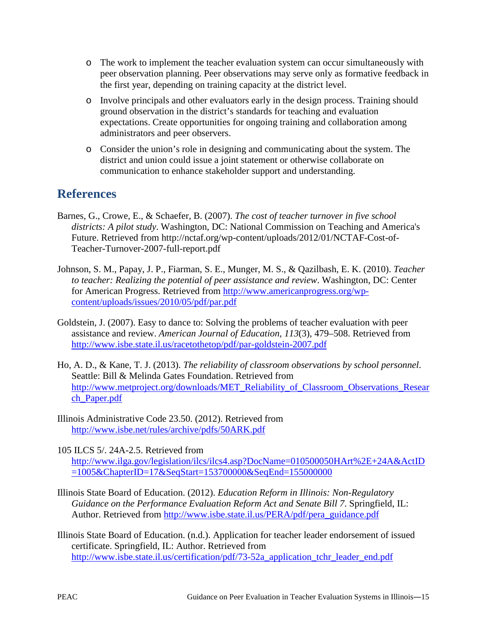- o The work to implement the teacher evaluation system can occur simultaneously with peer observation planning. Peer observations may serve only as formative feedback in the first year, depending on training capacity at the district level.
- o Involve principals and other evaluators early in the design process. Training should ground observation in the district's standards for teaching and evaluation expectations. Create opportunities for ongoing training and collaboration among administrators and peer observers.
- o Consider the union's role in designing and communicating about the system. The district and union could issue a joint statement or otherwise collaborate on communication to enhance stakeholder support and understanding.

### **References**

- [Barnes, G.](http://www.eric.ed.gov/ERICWebPortal/search/simpleSearch.jsp;jsessionid=G7h5R+eGc-xodeeHcEFgXA__.ericsrv002?_pageLabel=ERICSearchResult&_urlType=action&newSearch=true&ERICExtSearch_SearchType_0=au&ERICExtSearch_SearchValue_0=%22Barnes+Gary%22), Crowe, E., & Schaefer, B. (2007). *The cost of teacher turnover in five school districts: A pilot study*. Washington, DC: National Commission on Teaching and America's Future. Retrieved from http://nctaf.org/wp-content/uploads/2012/01/NCTAF-Cost-of-Teacher-Turnover-2007-full-report.pdf
- Johnson, S. M., Papay, J. P., Fiarman, S. E., Munger, M. S., & Qazilbash, E. K. (2010). *Teacher to teacher: Realizing the potential of peer assistance and review*. Washington, DC: Center for American Progress. Retrieved from [http://www.americanprogress.org/wp](http://www.americanprogress.org/wp-content/uploads/issues/2010/05/pdf/par.pdf)[content/uploads/issues/2010/05/pdf/par.pdf](http://www.americanprogress.org/wp-content/uploads/issues/2010/05/pdf/par.pdf)
- Goldstein, J. (2007). Easy to dance to: Solving the problems of teacher evaluation with peer assistance and review. *American Journal of Education, 113*(3), 479–508. Retrieved from <http://www.isbe.state.il.us/racetothetop/pdf/par-goldstein-2007.pdf>
- Ho, A. D., & Kane, T. J. (2013). *The reliability of classroom observations by school personnel*. Seattle: Bill & Melinda Gates Foundation. Retrieved from [http://www.metproject.org/downloads/MET\\_Reliability\\_of\\_Classroom\\_Observations\\_Resear](http://www.metproject.org/downloads/MET_Reliability_of_Classroom_Observations_Research_Paper.pdf) [ch\\_Paper.pdf](http://www.metproject.org/downloads/MET_Reliability_of_Classroom_Observations_Research_Paper.pdf)
- Illinois Administrative Code 23.50. (2012). Retrieved from <http://www.isbe.net/rules/archive/pdfs/50ARK.pdf>

105 ILCS 5/. 24A-2.5. Retrieved from [http://www.ilga.gov/legislation/ilcs/ilcs4.asp?DocName=010500050HArt%2E+24A&ActID](http://www.ilga.gov/legislation/ilcs/ilcs4.asp?DocName=010500050HArt%2E+24A&ActID=1005&ChapterID=17&SeqStart=153700000&SeqEnd=155000000) [=1005&ChapterID=17&SeqStart=153700000&SeqEnd=155000000](http://www.ilga.gov/legislation/ilcs/ilcs4.asp?DocName=010500050HArt%2E+24A&ActID=1005&ChapterID=17&SeqStart=153700000&SeqEnd=155000000) 

- Illinois State Board of Education. (2012). *Education Reform in Illinois: Non-Regulatory Guidance on the Performance Evaluation Reform Act and Senate Bill 7*. Springfield, IL: Author. Retrieved from [http://www.isbe.state.il.us/PERA/pdf/pera\\_guidance.pdf](http://www.isbe.state.il.us/PERA/pdf/pera_guidance.pdf)
- Illinois State Board of Education. (n.d.). Application for teacher leader endorsement of issued certificate. Springfield, IL: Author. Retrieved from http://www.isbe.state.il.us/certification/pdf/73-52a application tchr\_leader\_end.pdf